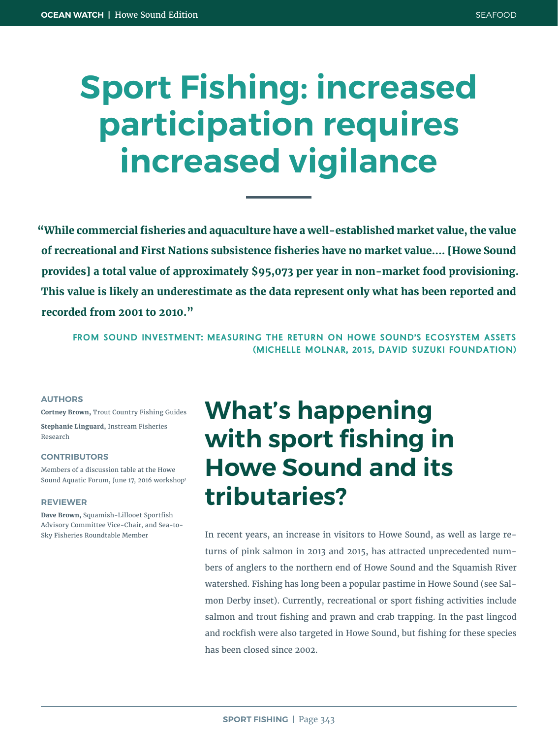# **Sport Fishing: increased participation requires increased vigilance**

**"While commercial fisheries and aquaculture have a well-established market value, the value of recreational and First Nations subsistence fisheries have no market value.... [Howe Sound provides] a total value of approximately \$95,073 per year in non-market food provisioning. This value is likely an underestimate as the data represent only what has been reported and recorded from 2001 to 2010."**

**FROM SOUND INVESTMENT: MEASURING THE RETURN ON HOWE SOUND'S ECOSYSTEM ASSETS (MICHELLE MOLNAR, 2015, DAVID SUZUKI FOUNDATION)**

### **AUTHORS**

**Cortney Brown,** Trout Country Fishing Guides **Stephanie Linguard,** Instream Fisheries Research

#### **CONTRIBUTORS**

Members of a discussion table at the Howe Sound Aquatic Forum, June 17, 2016 workshop1

#### **REVIEWER**

**Dave Brown,** Squamish-Lillooet Sportfish Advisory Committee Vice-Chair, and Sea-to-Sky Fisheries Roundtable Member

## **What's happening with sport fishing in Howe Sound and its tributaries?**

In recent years, an increase in visitors to Howe Sound, as well as large returns of pink salmon in 2013 and 2015, has attracted unprecedented numbers of anglers to the northern end of Howe Sound and the Squamish River watershed. Fishing has long been a popular pastime in Howe Sound (see Salmon Derby inset). Currently, recreational or sport fishing activities include salmon and trout fishing and prawn and crab trapping. In the past lingcod and rockfish were also targeted in Howe Sound, but fishing for these species has been closed since 2002.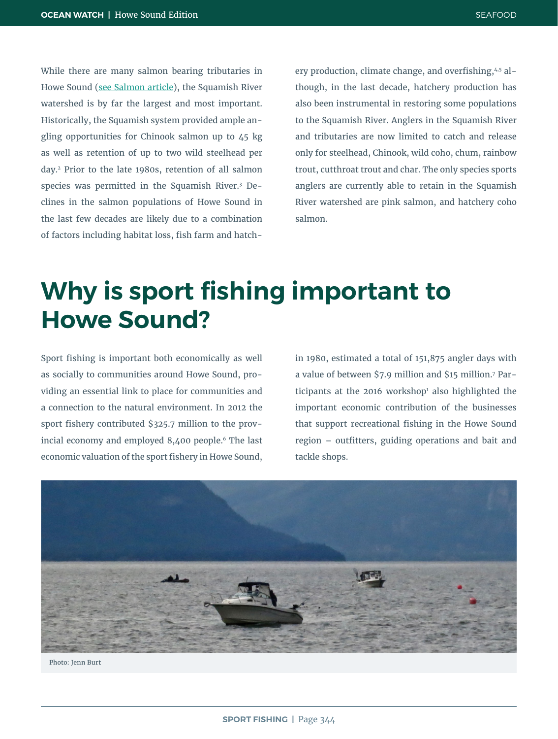While there are many salmon bearing tributaries in Howe Sound (see Salmon article), the Squamish River watershed is by far the largest and most important. Historically, the Squamish system provided ample angling opportunities for Chinook salmon up to 45 kg as well as retention of up to two wild steelhead per day.2 Prior to the late 1980s, retention of all salmon species was permitted in the Squamish River.3 Declines in the salmon populations of Howe Sound in the last few decades are likely due to a combination of factors including habitat loss, fish farm and hatchery production, climate change, and overfishing,4,5 although, in the last decade, hatchery production has also been instrumental in restoring some populations to the Squamish River. Anglers in the Squamish River and tributaries are now limited to catch and release only for steelhead, Chinook, wild coho, chum, rainbow trout, cutthroat trout and char. The only species sports anglers are currently able to retain in the Squamish River watershed are pink salmon, and hatchery coho salmon.

## **Why is sport fishing important to Howe Sound?**

Sport fishing is important both economically as well as socially to communities around Howe Sound, providing an essential link to place for communities and a connection to the natural environment. In 2012 the sport fishery contributed \$325.7 million to the provincial economy and employed 8,400 people.<sup>6</sup> The last economic valuation of the sport fishery in Howe Sound, in 1980, estimated a total of 151,875 angler days with a value of between \$7.9 million and \$15 million.7 Participants at the 2016 workshop<sup>1</sup> also highlighted the important economic contribution of the businesses that support recreational fishing in the Howe Sound region – outfitters, guiding operations and bait and tackle shops.



Photo: Jenn Burt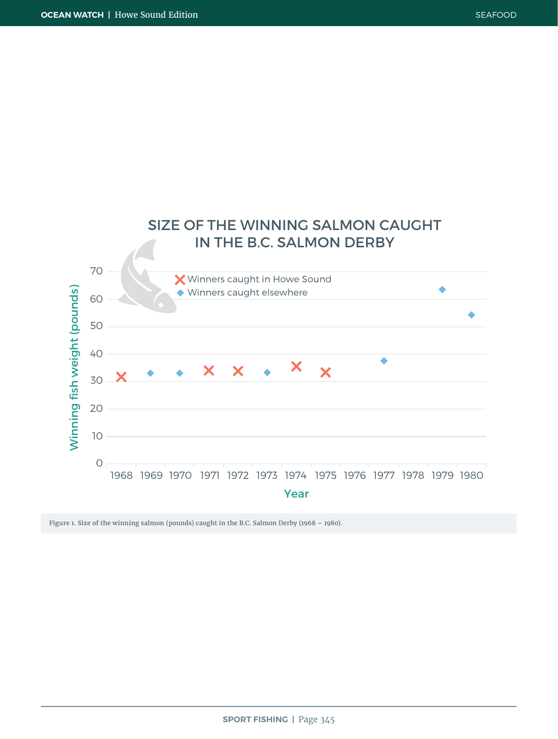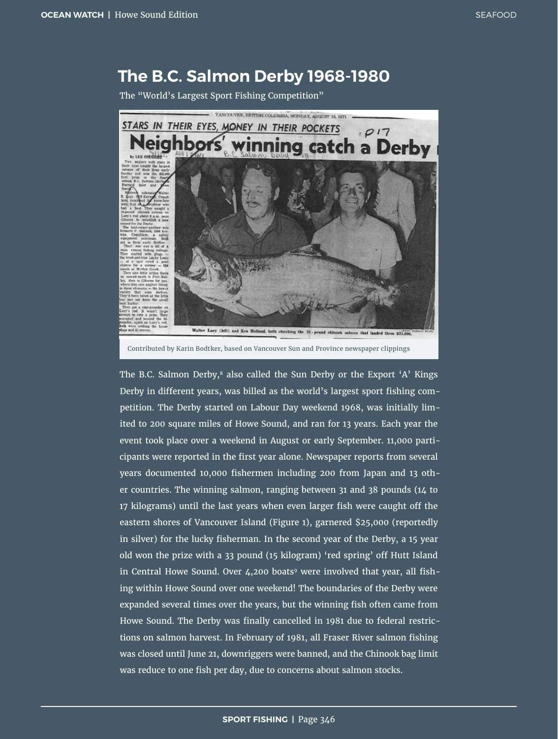### **The B.C. Salmon Derby 1968-1980**

The "World's Largest Sport Fishing Competition"



Contributed by Karin Bodtker, based on Vancouver Sun and Province newspaper clippings

The B.C. Salmon Derby, $^8$  also called the Sun Derby or the Export 'A' Kings Derby in different years, was billed as the world's largest sport fishing competition. The Derby started on Labour Day weekend 1968, was initially limited to 200 square miles of Howe Sound, and ran for 13 years. Each year the event took place over a weekend in August or early September. 11,000 participants were reported in the first year alone. Newspaper reports from several years documented 10,000 fishermen including 200 from Japan and 13 other countries. The winning salmon, ranging between 31 and 38 pounds (14 to 17 kilograms) until the last years when even larger fish were caught off the eastern shores of Vancouver Island (Figure 1), garnered \$25,000 (reportedly in silver) for the lucky fisherman. In the second year of the Derby, a 15 year old won the prize with a 33 pound (15 kilogram) 'red spring' off Hutt Island in Central Howe Sound. Over  $4,200$  boats<sup>9</sup> were involved that year, all fishing within Howe Sound over one weekend! The boundaries of the Derby were expanded several times over the years, but the winning fish often came from Howe Sound. The Derby was finally cancelled in 1981 due to federal restrictions on salmon harvest. In February of 1981, all Fraser River salmon fishing was closed until June 21, downriggers were banned, and the Chinook bag limit was reduce to one fish per day, due to concerns about salmon stocks.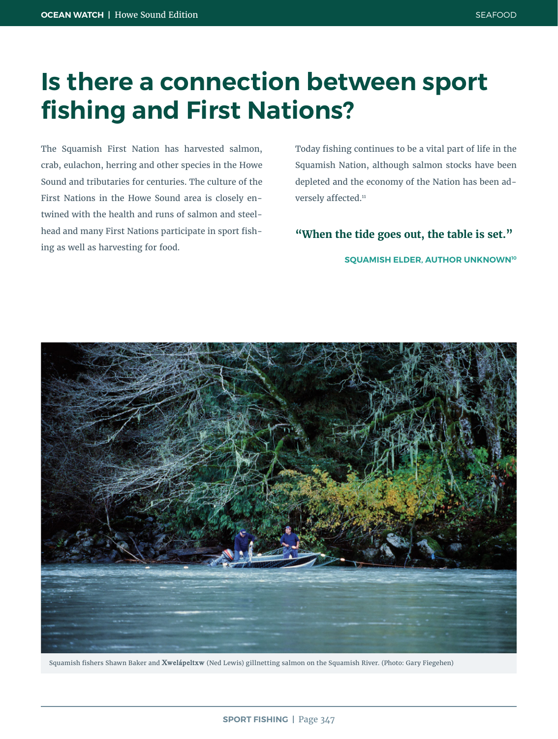## **Is there a connection between sport fishing and First Nations?**

The Squamish First Nation has harvested salmon, crab, eulachon, herring and other species in the Howe Sound and tributaries for centuries. The culture of the First Nations in the Howe Sound area is closely entwined with the health and runs of salmon and steelhead and many First Nations participate in sport fishing as well as harvesting for food.

Today fishing continues to be a vital part of life in the Squamish Nation, although salmon stocks have been depleted and the economy of the Nation has been adversely affected.<sup>11</sup>

**"When the tide goes out, the table is set."** 

**SQUAMISH ELDER, AUTHOR UNKNOWN10**



Squamish fishers Shawn Baker and **Xwelápeltxw** (Ned Lewis) gillnetting salmon on the Squamish River. (Photo: Gary Fiegehen)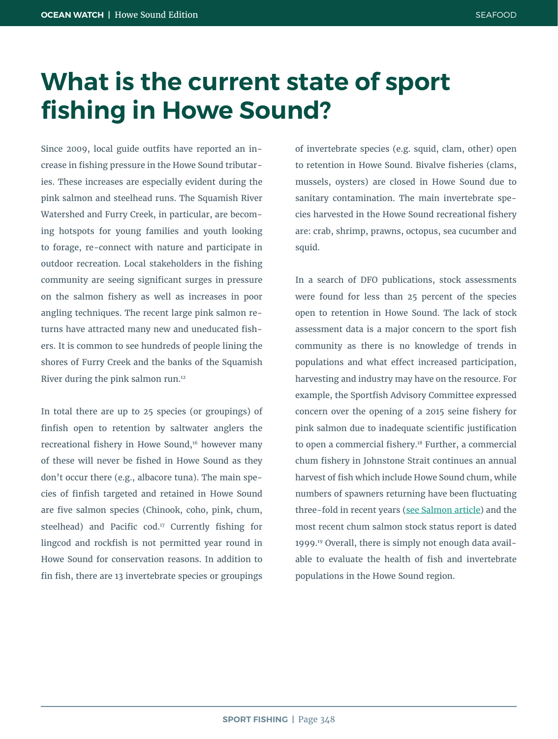## **What is the current state of sport fishing in Howe Sound?**

Since 2009, local guide outfits have reported an increase in fishing pressure in the Howe Sound tributaries. These increases are especially evident during the pink salmon and steelhead runs. The Squamish River Watershed and Furry Creek, in particular, are becoming hotspots for young families and youth looking to forage, re-connect with nature and participate in outdoor recreation. Local stakeholders in the fishing community are seeing significant surges in pressure on the salmon fishery as well as increases in poor angling techniques. The recent large pink salmon returns have attracted many new and uneducated fishers. It is common to see hundreds of people lining the shores of Furry Creek and the banks of the Squamish River during the pink salmon run.<sup>12</sup>

In total there are up to 25 species (or groupings) of finfish open to retention by saltwater anglers the recreational fishery in Howe Sound,<sup>16</sup> however many of these will never be fished in Howe Sound as they don't occur there (e.g., albacore tuna). The main species of finfish targeted and retained in Howe Sound are five salmon species (Chinook, coho, pink, chum, steelhead) and Pacific cod.<sup>17</sup> Currently fishing for lingcod and rockfish is not permitted year round in Howe Sound for conservation reasons. In addition to fin fish, there are 13 invertebrate species or groupings of invertebrate species (e.g. squid, clam, other) open to retention in Howe Sound. Bivalve fisheries (clams, mussels, oysters) are closed in Howe Sound due to sanitary contamination. The main invertebrate species harvested in the Howe Sound recreational fishery are: crab, shrimp, prawns, octopus, sea cucumber and squid.

In a search of DFO publications, stock assessments were found for less than 25 percent of the species open to retention in Howe Sound. The lack of stock assessment data is a major concern to the sport fish community as there is no knowledge of trends in populations and what effect increased participation, harvesting and industry may have on the resource. For example, the Sportfish Advisory Committee expressed concern over the opening of a 2015 seine fishery for pink salmon due to inadequate scientific justification to open a commercial fishery.<sup>18</sup> Further, a commercial chum fishery in Johnstone Strait continues an annual harvest of fish which include Howe Sound chum, while numbers of spawners returning have been fluctuating three-fold in recent years (see Salmon article) and the most recent chum salmon stock status report is dated 1999.19 Overall, there is simply not enough data available to evaluate the health of fish and invertebrate populations in the Howe Sound region.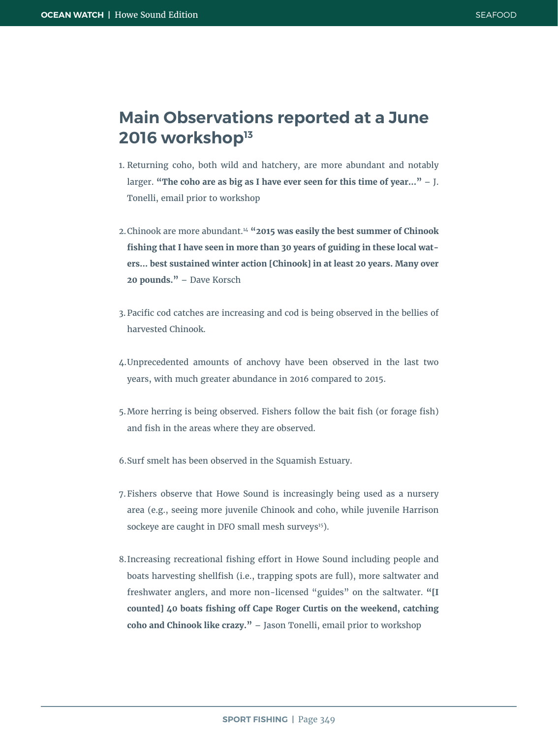### **Main Observations reported at a June 2016 workshop13**

- 1. Returning coho, both wild and hatchery, are more abundant and notably larger. **"The coho are as big as I have ever seen for this time of year..."** – J. Tonelli, email prior to workshop
- 2.Chinook are more abundant.14 **"2015 was easily the best summer of Chinook fishing that I have seen in more than 30 years of guiding in these local waters… best sustained winter action [Chinook] in at least 20 years. Many over 20 pounds."** – Dave Korsch
- 3.Pacific cod catches are increasing and cod is being observed in the bellies of harvested Chinook.
- 4.Unprecedented amounts of anchovy have been observed in the last two years, with much greater abundance in 2016 compared to 2015.
- 5.More herring is being observed. Fishers follow the bait fish (or forage fish) and fish in the areas where they are observed.
- 6.Surf smelt has been observed in the Squamish Estuary.
- 7.Fishers observe that Howe Sound is increasingly being used as a nursery area (e.g., seeing more juvenile Chinook and coho, while juvenile Harrison sockeye are caught in DFO small mesh surveys<sup>15</sup>).
- 8.Increasing recreational fishing effort in Howe Sound including people and boats harvesting shellfish (i.e., trapping spots are full), more saltwater and freshwater anglers, and more non-licensed "guides" on the saltwater. **"[I counted] 40 boats fishing off Cape Roger Curtis on the weekend, catching coho and Chinook like crazy."** – Jason Tonelli, email prior to workshop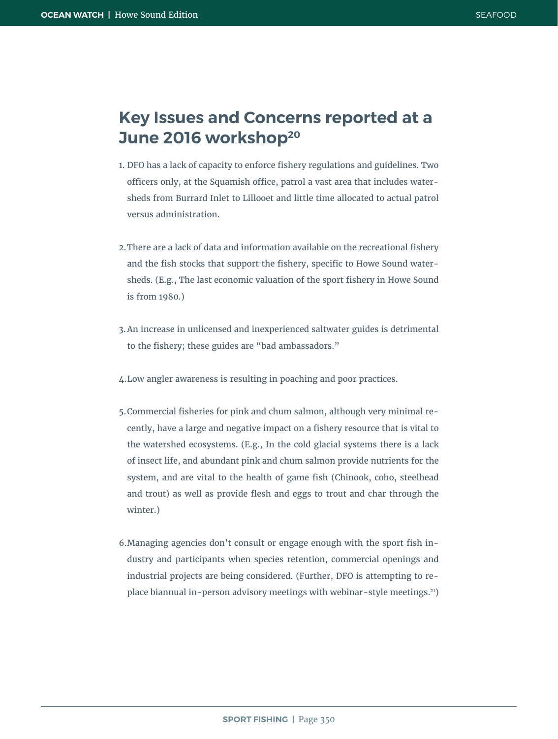### **Key Issues and Concerns reported at a June 2016 workshop20**

- 1. DFO has a lack of capacity to enforce fishery regulations and guidelines. Two officers only, at the Squamish office, patrol a vast area that includes watersheds from Burrard Inlet to Lillooet and little time allocated to actual patrol versus administration.
- 2.There are a lack of data and information available on the recreational fishery and the fish stocks that support the fishery, specific to Howe Sound watersheds. (E.g., The last economic valuation of the sport fishery in Howe Sound is from 1980.)
- 3.An increase in unlicensed and inexperienced saltwater guides is detrimental to the fishery; these guides are "bad ambassadors."
- 4.Low angler awareness is resulting in poaching and poor practices.
- 5.Commercial fisheries for pink and chum salmon, although very minimal recently, have a large and negative impact on a fishery resource that is vital to the watershed ecosystems. (E.g., In the cold glacial systems there is a lack of insect life, and abundant pink and chum salmon provide nutrients for the system, and are vital to the health of game fish (Chinook, coho, steelhead and trout) as well as provide flesh and eggs to trout and char through the winter.)
- 6.Managing agencies don't consult or engage enough with the sport fish industry and participants when species retention, commercial openings and industrial projects are being considered. (Further, DFO is attempting to replace biannual in-person advisory meetings with webinar-style meetings.21)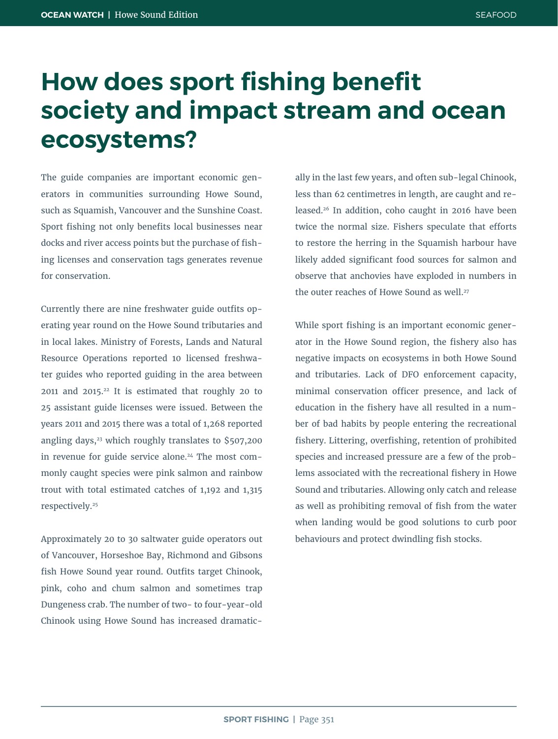## **How does sport fishing benefit society and impact stream and ocean ecosystems?**

The guide companies are important economic generators in communities surrounding Howe Sound, such as Squamish, Vancouver and the Sunshine Coast. Sport fishing not only benefits local businesses near docks and river access points but the purchase of fishing licenses and conservation tags generates revenue for conservation.

Currently there are nine freshwater guide outfits operating year round on the Howe Sound tributaries and in local lakes. Ministry of Forests, Lands and Natural Resource Operations reported 10 licensed freshwater guides who reported guiding in the area between 2011 and 2015.22 It is estimated that roughly 20 to 25 assistant guide licenses were issued. Between the years 2011 and 2015 there was a total of 1,268 reported angling days, $23$  which roughly translates to \$507,200 in revenue for guide service alone.<sup>24</sup> The most commonly caught species were pink salmon and rainbow trout with total estimated catches of 1,192 and 1,315 respectively.25

Approximately 20 to 30 saltwater guide operators out of Vancouver, Horseshoe Bay, Richmond and Gibsons fish Howe Sound year round. Outfits target Chinook, pink, coho and chum salmon and sometimes trap Dungeness crab. The number of two- to four-year-old Chinook using Howe Sound has increased dramatically in the last few years, and often sub-legal Chinook, less than 62 centimetres in length, are caught and released.<sup>26</sup> In addition, coho caught in 2016 have been twice the normal size. Fishers speculate that efforts to restore the herring in the Squamish harbour have likely added significant food sources for salmon and observe that anchovies have exploded in numbers in the outer reaches of Howe Sound as well.<sup>27</sup>

While sport fishing is an important economic generator in the Howe Sound region, the fishery also has negative impacts on ecosystems in both Howe Sound and tributaries. Lack of DFO enforcement capacity, minimal conservation officer presence, and lack of education in the fishery have all resulted in a number of bad habits by people entering the recreational fishery. Littering, overfishing, retention of prohibited species and increased pressure are a few of the problems associated with the recreational fishery in Howe Sound and tributaries. Allowing only catch and release as well as prohibiting removal of fish from the water when landing would be good solutions to curb poor behaviours and protect dwindling fish stocks.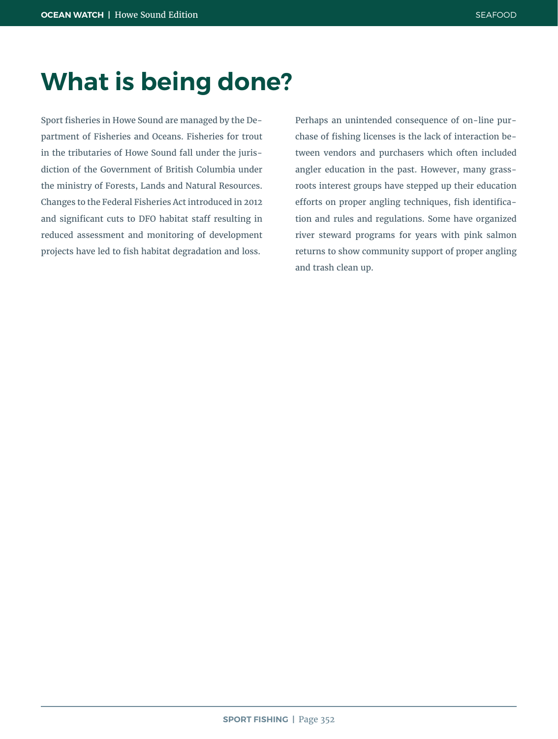## **What is being done?**

Sport fisheries in Howe Sound are managed by the Department of Fisheries and Oceans. Fisheries for trout in the tributaries of Howe Sound fall under the jurisdiction of the Government of British Columbia under the ministry of Forests, Lands and Natural Resources. Changes to the Federal Fisheries Act introduced in 2012 and significant cuts to DFO habitat staff resulting in reduced assessment and monitoring of development projects have led to fish habitat degradation and loss.

Perhaps an unintended consequence of on-line purchase of fishing licenses is the lack of interaction between vendors and purchasers which often included angler education in the past. However, many grassroots interest groups have stepped up their education efforts on proper angling techniques, fish identification and rules and regulations. Some have organized river steward programs for years with pink salmon returns to show community support of proper angling and trash clean up.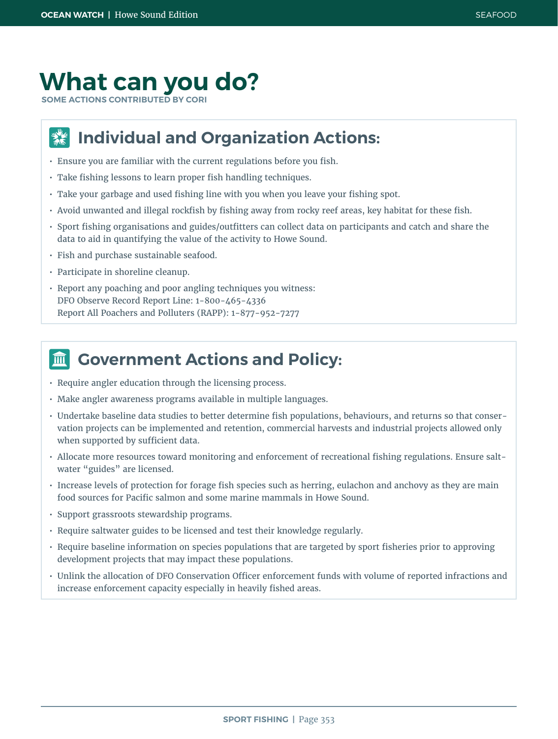### **What can you do?**

**SOME ACTIONS CONTRIBUTED BY CORI**

### **Individual and Organization Actions:**  $\frac{d}{dx}$

- Ensure you are familiar with the current regulations before you fish.
- Take fishing lessons to learn proper fish handling techniques.
- Take your garbage and used fishing line with you when you leave your fishing spot.
- Avoid unwanted and illegal rockfish by fishing away from rocky reef areas, key habitat for these fish.
- Sport fishing organisations and guides/outfitters can collect data on participants and catch and share the data to aid in quantifying the value of the activity to Howe Sound.
- Fish and purchase sustainable seafood.
- Participate in shoreline cleanup.
- Report any poaching and poor angling techniques you witness: DFO Observe Record Report Line: 1-800-465-4336 Report All Poachers and Polluters (RAPP): 1-877-952-7277

### **Government Actions and Policy:** 皿

- Require angler education through the licensing process.
- Make angler awareness programs available in multiple languages.
- Undertake baseline data studies to better determine fish populations, behaviours, and returns so that conservation projects can be implemented and retention, commercial harvests and industrial projects allowed only when supported by sufficient data.
- Allocate more resources toward monitoring and enforcement of recreational fishing regulations. Ensure saltwater "guides" are licensed.
- Increase levels of protection for forage fish species such as herring, eulachon and anchovy as they are main food sources for Pacific salmon and some marine mammals in Howe Sound.
- Support grassroots stewardship programs.
- Require saltwater guides to be licensed and test their knowledge regularly.
- Require baseline information on species populations that are targeted by sport fisheries prior to approving development projects that may impact these populations.
- Unlink the allocation of DFO Conservation Officer enforcement funds with volume of reported infractions and increase enforcement capacity especially in heavily fished areas.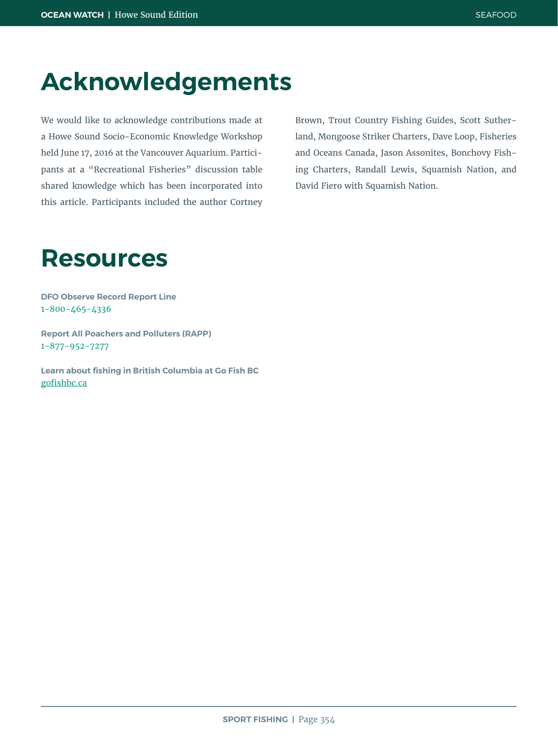### **Acknowledgements**

We would like to acknowledge contributions made at a Howe Sound Socio-Economic Knowledge Workshop held June 17, 2016 at the Vancouver Aquarium. Participants at a "Recreational Fisheries" discussion table shared knowledge which has been incorporated into this article. Participants included the author Cortney

Brown, Trout Country Fishing Guides, Scott Sutherland, Mongoose Striker Charters, Dave Loop, Fisheries and Oceans Canada, Jason Assonites, Bonchovy Fishing Charters, Randall Lewis, Squamish Nation, and David Fiero with Squamish Nation.

### **Resources**

**DFO Observe Record Report Line** 1-800-465-4336

**Report All Poachers and Polluters (RAPP)** 1-877-952-7277

**Learn about fishing in British Columbia at Go Fish BC** [gofishbc.ca](http://gofishbc.ca)